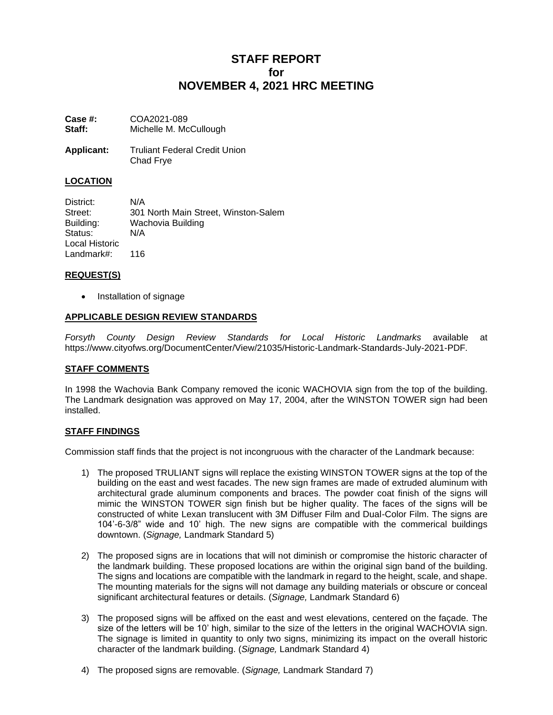# **STAFF REPORT for NOVEMBER 4, 2021 HRC MEETING**

| Case #: | COA2021-089            |
|---------|------------------------|
| Staff:  | Michelle M. McCullough |

**Applicant:** Truliant Federal Credit Union Chad Frye

## **LOCATION**

District: N/A Street: 301 North Main Street, Winston-Salem Building: Wachovia Building Status: N/A Local Historic Landmark#: 116

## **REQUEST(S)**

• Installation of signage

## **APPLICABLE DESIGN REVIEW STANDARDS**

*Forsyth County Design Review Standards for Local Historic Landmarks* available at https://www.cityofws.org/DocumentCenter/View/21035/Historic-Landmark-Standards-July-2021-PDF*.*

### **STAFF COMMENTS**

In 1998 the Wachovia Bank Company removed the iconic WACHOVIA sign from the top of the building. The Landmark designation was approved on May 17, 2004, after the WINSTON TOWER sign had been installed.

### **STAFF FINDINGS**

Commission staff finds that the project is not incongruous with the character of the Landmark because:

- 1) The proposed TRULIANT signs will replace the existing WINSTON TOWER signs at the top of the building on the east and west facades. The new sign frames are made of extruded aluminum with architectural grade aluminum components and braces. The powder coat finish of the signs will mimic the WINSTON TOWER sign finish but be higher quality. The faces of the signs will be constructed of white Lexan translucent with 3M Diffuser Film and Dual-Color Film. The signs are 104'-6-3/8" wide and 10' high. The new signs are compatible with the commerical buildings downtown. (*Signage,* Landmark Standard 5)
- 2) The proposed signs are in locations that will not diminish or compromise the historic character of the landmark building. These proposed locations are within the original sign band of the building. The signs and locations are compatible with the landmark in regard to the height, scale, and shape. The mounting materials for the signs will not damage any building materials or obscure or conceal significant architectural features or details. (*Signage,* Landmark Standard 6)
- 3) The proposed signs will be affixed on the east and west elevations, centered on the façade. The size of the letters will be 10' high, similar to the size of the letters in the original WACHOVIA sign. The signage is limited in quantity to only two signs, minimizing its impact on the overall historic character of the landmark building. (*Signage,* Landmark Standard 4)
- 4) The proposed signs are removable. (*Signage,* Landmark Standard 7)